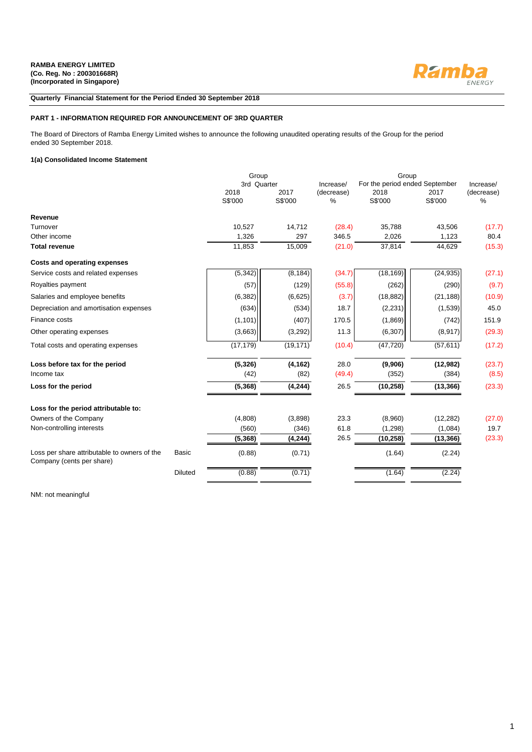

## **Quarterly Financial Statement for the Period Ended 30 September 2018**

## **PART 1 - INFORMATION REQUIRED FOR ANNOUNCEMENT OF 3RD QUARTER**

The Board of Directors of Ramba Energy Limited wishes to announce the following unaudited operating results of the Group for the period ended 30 September 2018.

## **1(a) Consolidated Income Statement**

|                                                                           |                | Group           |                 |                    | Group                          |                 |                    |  |  |
|---------------------------------------------------------------------------|----------------|-----------------|-----------------|--------------------|--------------------------------|-----------------|--------------------|--|--|
|                                                                           |                | 3rd Quarter     |                 | Increase/          | For the period ended September |                 | Increase/          |  |  |
|                                                                           |                | 2018<br>S\$'000 | 2017<br>S\$'000 | (decrease)<br>$\%$ | 2018<br>S\$'000                | 2017<br>S\$'000 | (decrease)<br>$\%$ |  |  |
|                                                                           |                |                 |                 |                    |                                |                 |                    |  |  |
| Revenue                                                                   |                |                 |                 |                    |                                |                 |                    |  |  |
| Turnover                                                                  |                | 10.527          | 14,712          | (28.4)             | 35.788                         | 43.506          | (17.7)             |  |  |
| Other income                                                              |                | 1,326           | 297             | 346.5              | 2,026                          | 1,123           | 80.4               |  |  |
| <b>Total revenue</b>                                                      |                | 11,853          | 15,009          | (21.0)             | 37,814                         | 44,629          | (15.3)             |  |  |
| <b>Costs and operating expenses</b>                                       |                |                 |                 |                    |                                |                 |                    |  |  |
| Service costs and related expenses                                        |                | (5, 342)        | (8, 184)        | (34.7)             | (18, 169)                      | (24, 935)       | (27.1)             |  |  |
| Royalties payment                                                         |                | (57)            | (129)           | (55.8)             | (262)                          | (290)           | (9.7)              |  |  |
| Salaries and employee benefits                                            |                | (6, 382)        | (6,625)         | (3.7)              | (18, 882)                      | (21, 188)       | (10.9)             |  |  |
| Depreciation and amortisation expenses                                    |                | (634)           | (534)           | 18.7               | (2, 231)                       | (1,539)         | 45.0               |  |  |
| Finance costs                                                             |                | (1, 101)        | (407)           | 170.5              | (1,869)                        | (742)           | 151.9              |  |  |
| Other operating expenses                                                  |                | (3,663)         | (3,292)         | 11.3               | (6, 307)                       | (8,917)         | (29.3)             |  |  |
| Total costs and operating expenses                                        |                | (17, 179)       | (19, 171)       | (10.4)             | (47, 720)                      | (57, 611)       | (17.2)             |  |  |
| Loss before tax for the period                                            |                | (5, 326)        | (4, 162)        | 28.0               | (9,906)                        | (12,982)        | (23.7)             |  |  |
| Income tax                                                                |                | (42)            | (82)            | (49.4)             | (352)                          | (384)           | (8.5)              |  |  |
| Loss for the period                                                       |                | (5, 368)        | (4, 244)        | 26.5               | (10, 258)                      | (13, 366)       | (23.3)             |  |  |
| Loss for the period attributable to:                                      |                |                 |                 |                    |                                |                 |                    |  |  |
| Owners of the Company                                                     |                | (4,808)         | (3,898)         | 23.3               | (8,960)                        | (12, 282)       | (27.0)             |  |  |
| Non-controlling interests                                                 |                | (560)           | (346)           | 61.8               | (1, 298)                       | (1,084)         | 19.7               |  |  |
|                                                                           |                | (5, 368)        | (4, 244)        | 26.5               | (10, 258)                      | (13, 366)       | (23.3)             |  |  |
| Loss per share attributable to owners of the<br>Company (cents per share) | <b>Basic</b>   | (0.88)          | (0.71)          |                    | (1.64)                         | (2.24)          |                    |  |  |
|                                                                           | <b>Diluted</b> | (0.88)          | (0.71)          |                    | (1.64)                         | (2.24)          |                    |  |  |

NM: not meaningful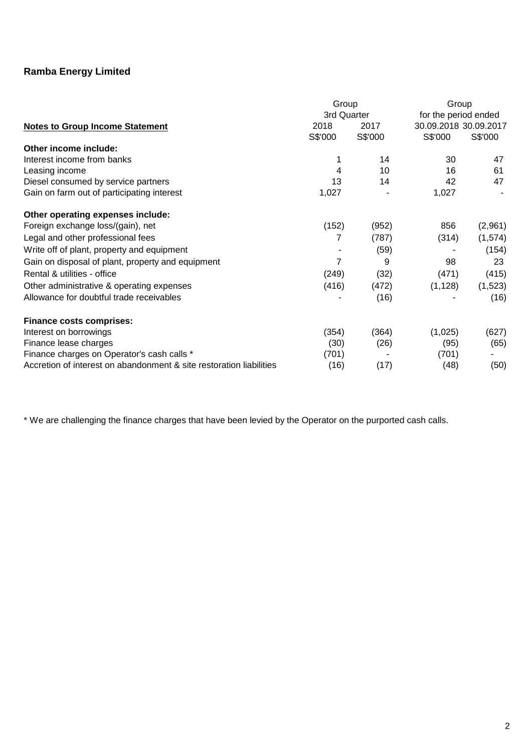|                                                                     | Group<br>3rd Quarter |         | Group<br>for the period ended |          |
|---------------------------------------------------------------------|----------------------|---------|-------------------------------|----------|
| <b>Notes to Group Income Statement</b>                              | 2018                 | 2017    | 30.09.2018 30.09.2017         |          |
|                                                                     | S\$'000              | S\$'000 | S\$'000                       | S\$'000  |
| Other income include:                                               |                      |         |                               |          |
| Interest income from banks                                          |                      | 14      | 30                            | 47       |
| Leasing income                                                      | 4                    | 10      | 16                            | 61       |
| Diesel consumed by service partners                                 | 13                   | 14      | 42                            | 47       |
| Gain on farm out of participating interest                          | 1,027                |         | 1,027                         |          |
| Other operating expenses include:                                   |                      |         |                               |          |
| Foreign exchange loss/(gain), net                                   | (152)                | (952)   | 856                           | (2,961)  |
| Legal and other professional fees                                   | 7                    | (787)   | (314)                         | (1, 574) |
| Write off of plant, property and equipment                          |                      | (59)    |                               | (154)    |
| Gain on disposal of plant, property and equipment                   | $\overline{7}$       | 9       | 98                            | 23       |
| Rental & utilities - office                                         | (249)                | (32)    | (471)                         | (415)    |
| Other administrative & operating expenses                           | (416)                | (472)   | (1, 128)                      | (1,523)  |
| Allowance for doubtful trade receivables                            |                      | (16)    |                               | (16)     |
| <b>Finance costs comprises:</b>                                     |                      |         |                               |          |
| Interest on borrowings                                              | (354)                | (364)   | (1,025)                       | (627)    |
| Finance lease charges                                               | (30)                 | (26)    | (95)                          | (65)     |
| Finance charges on Operator's cash calls *                          | (701)                |         | (701)                         |          |
| Accretion of interest on abandonment & site restoration liabilities | (16)                 | (17)    | (48)                          | (50)     |

\* We are challenging the finance charges that have been levied by the Operator on the purported cash calls.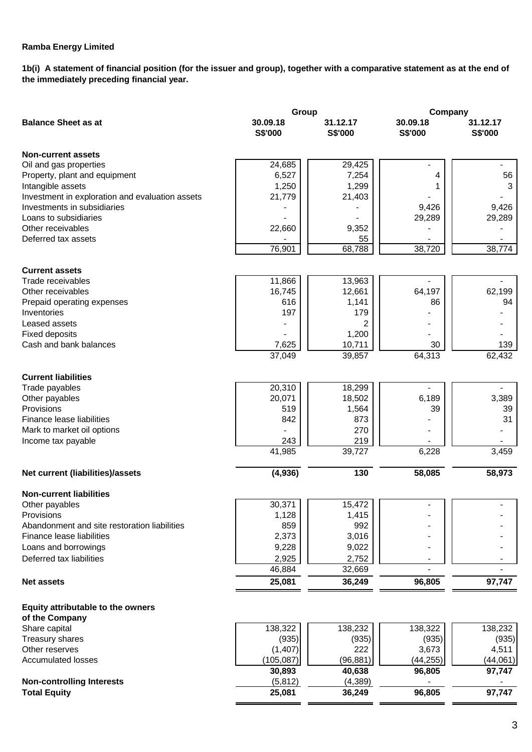**1b(i) A statement of financial position (for the issuer and group), together with a comparative statement as at the end of the immediately preceding financial year.**

|                                                 | Group               | Company                    |                            |                     |
|-------------------------------------------------|---------------------|----------------------------|----------------------------|---------------------|
| <b>Balance Sheet as at</b>                      | 30.09.18<br>S\$'000 | 31.12.17<br><b>S\$'000</b> | 30.09.18<br><b>S\$'000</b> | 31.12.17<br>S\$'000 |
| <b>Non-current assets</b>                       |                     |                            |                            |                     |
| Oil and gas properties                          | 24,685              | 29,425                     |                            |                     |
| Property, plant and equipment                   | 6,527               | 7,254                      | 4                          | 56                  |
| Intangible assets                               | 1,250               | 1,299                      |                            | 3                   |
| Investment in exploration and evaluation assets | 21,779              | 21,403                     |                            |                     |
| Investments in subsidiaries                     |                     |                            | 9,426                      | 9,426               |
| Loans to subsidiaries                           |                     |                            | 29,289                     | 29,289              |
| Other receivables                               | 22,660              | 9,352                      |                            |                     |
| Deferred tax assets                             |                     | 55                         |                            |                     |
|                                                 | 76,901              | 68,788                     | 38,720                     | 38,774              |
| <b>Current assets</b>                           |                     |                            |                            |                     |
| Trade receivables                               | 11,866              | 13,963                     |                            |                     |
| Other receivables                               | 16,745              | 12,661                     | 64,197                     | 62,199              |
| Prepaid operating expenses                      | 616                 | 1,141                      | 86                         | 94                  |
| Inventories                                     | 197                 | 179                        |                            |                     |
| Leased assets                                   |                     | 2                          |                            |                     |
| <b>Fixed deposits</b>                           |                     | 1,200                      |                            |                     |
| Cash and bank balances                          | 7,625               | 10,711                     | 30                         | 139                 |
|                                                 | 37,049              | 39,857                     | 64,313                     | 62,432              |
| <b>Current liabilities</b>                      |                     |                            |                            |                     |
| Trade payables                                  | 20,310              | 18,299                     |                            |                     |
| Other payables                                  | 20,071              | 18,502                     | 6,189                      | 3,389               |
| Provisions                                      | 519                 | 1,564                      | 39                         | 39                  |
| Finance lease liabilities                       | 842                 | 873                        |                            | 31                  |
| Mark to market oil options                      |                     | 270                        |                            |                     |
| Income tax payable                              | 243<br>41,985       | 219<br>39,727              | 6,228                      | 3,459               |
|                                                 |                     |                            |                            |                     |
| Net current (liabilities)/assets                | (4,936)             | 130                        | 58,085                     | 58,973              |
| <b>Non-current liabilities</b>                  |                     |                            |                            |                     |
| Other payables                                  | 30,371              | 15,472                     |                            |                     |
| Provisions                                      | 1,128               | 1,415                      |                            |                     |
| Abandonment and site restoration liabilities    | 859                 | 992                        |                            |                     |
| Finance lease liabilities                       | 2,373               | 3,016                      |                            |                     |
| Loans and borrowings                            | 9,228               | 9,022                      |                            |                     |
| Deferred tax liabilities                        | 2,925               | 2,752                      |                            |                     |
|                                                 | 46,884              | 32,669                     |                            |                     |
| <b>Net assets</b>                               | 25,081              | 36,249                     | 96,805                     | 97,747              |
| Equity attributable to the owners               |                     |                            |                            |                     |
| of the Company                                  |                     |                            |                            |                     |
| Share capital                                   | 138,322             | 138,232                    | 138,322                    | 138,232             |
| Treasury shares                                 | (935)               | (935)                      | (935)                      | (935)               |
| Other reserves                                  | (1, 407)            | 222                        | 3,673                      | 4,511               |
| <b>Accumulated losses</b>                       | (105, 087)          | (96, 881)                  | (44, 255)                  | (44,061)            |
|                                                 | 30,893              | 40,638                     | 96,805                     | 97,747              |
| <b>Non-controlling Interests</b>                | (5,812)             | (4, 389)                   |                            |                     |
| <b>Total Equity</b>                             | 25,081              | 36,249                     | 96,805                     | 97,747              |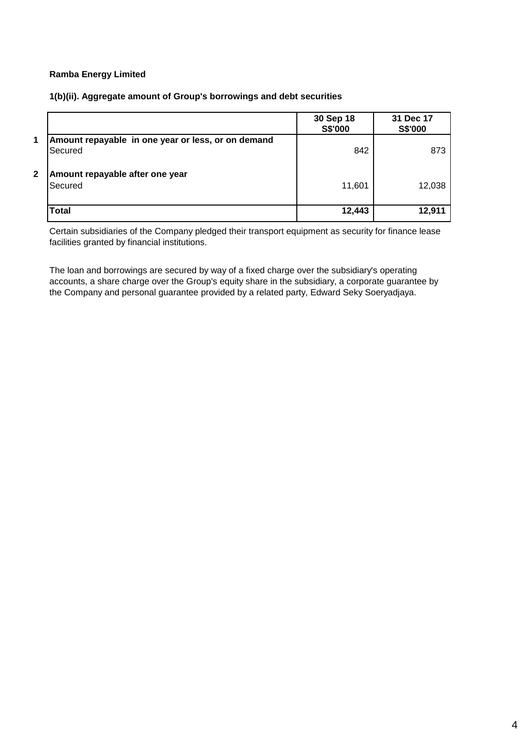# **1(b)(ii). Aggregate amount of Group's borrowings and debt securities**

|              |                                                               | 30 Sep 18<br>S\$'000 | 31 Dec 17<br>S\$'000 |
|--------------|---------------------------------------------------------------|----------------------|----------------------|
| 1            | Amount repayable in one year or less, or on demand<br>Secured | 842                  | 873                  |
| $\mathbf{2}$ | Amount repayable after one year<br><b>Secured</b>             | 11,601               | 12,038               |
|              | <b>Total</b>                                                  | 12,443               | 12,911               |

Certain subsidiaries of the Company pledged their transport equipment as security for finance lease facilities granted by financial institutions.

The loan and borrowings are secured by way of a fixed charge over the subsidiary's operating accounts, a share charge over the Group's equity share in the subsidiary, a corporate guarantee by the Company and personal guarantee provided by a related party, Edward Seky Soeryadjaya.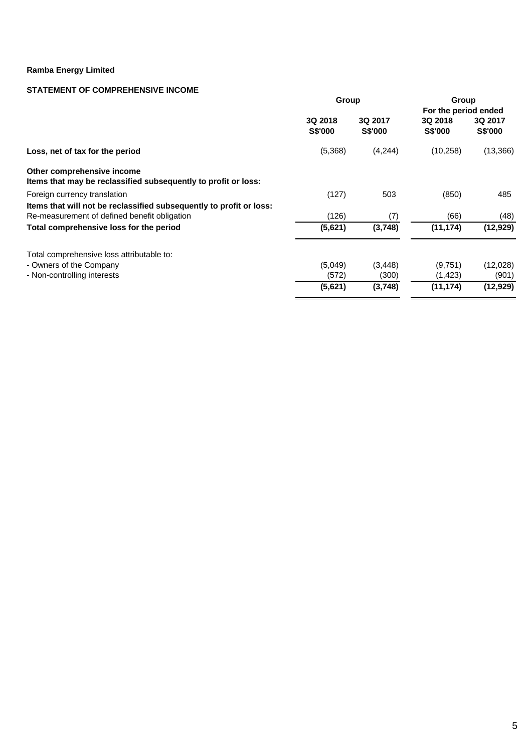# **STATEMENT OF COMPREHENSIVE INCOME**

|                                                                                              | Group              |                           | Group                     |                    |  |  |
|----------------------------------------------------------------------------------------------|--------------------|---------------------------|---------------------------|--------------------|--|--|
|                                                                                              |                    |                           | For the period ended      |                    |  |  |
|                                                                                              | 3Q 2018<br>S\$'000 | 3Q 2017<br><b>S\$'000</b> | 3Q 2018<br><b>S\$'000</b> | 3Q 2017<br>S\$'000 |  |  |
| Loss, net of tax for the period                                                              | (5,368)            | (4,244)                   | (10, 258)                 | (13,366)           |  |  |
| Other comprehensive income<br>Items that may be reclassified subsequently to profit or loss: |                    |                           |                           |                    |  |  |
| Foreign currency translation                                                                 | (127)              | 503                       | (850)                     | 485                |  |  |
| Items that will not be reclassified subsequently to profit or loss:                          |                    |                           |                           |                    |  |  |
| Re-measurement of defined benefit obligation                                                 | (126)              | (7)                       | (66)                      | (48)               |  |  |
| Total comprehensive loss for the period                                                      | (5,621)            | (3,748)                   | (11, 174)                 | (12, 929)          |  |  |
| Total comprehensive loss attributable to:                                                    |                    |                           |                           |                    |  |  |
| - Owners of the Company                                                                      | (5,049)            | (3, 448)                  | (9,751)                   | (12,028)           |  |  |
| - Non-controlling interests                                                                  | (572)              | (300)                     | (1,423)                   | (901)              |  |  |
|                                                                                              | (5,621)            | (3,748)                   | (11, 174)                 | (12, 929)          |  |  |
|                                                                                              |                    |                           |                           |                    |  |  |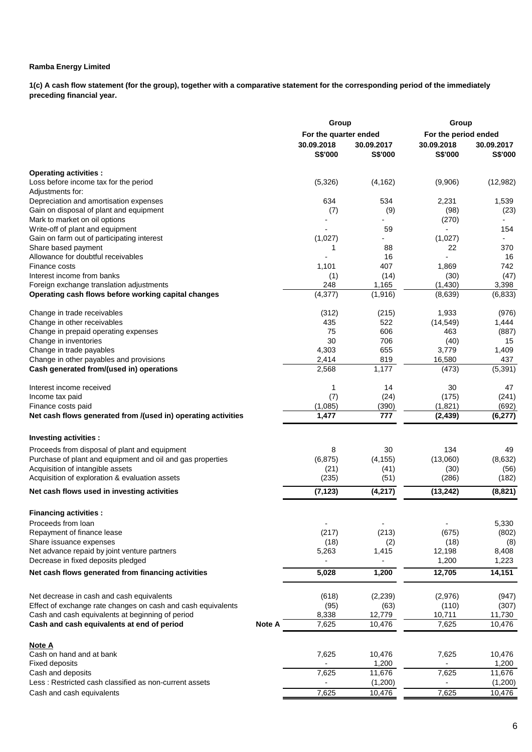**1(c) A cash flow statement (for the group), together with a comparative statement for the corresponding period of the immediately preceding financial year.**

|                                                               |        | Group                 |                          | Group                |            |  |  |
|---------------------------------------------------------------|--------|-----------------------|--------------------------|----------------------|------------|--|--|
|                                                               |        | For the quarter ended |                          | For the period ended |            |  |  |
|                                                               |        | 30.09.2018            | 30.09.2017               | 30.09.2018           | 30.09.2017 |  |  |
|                                                               |        | <b>S\$'000</b>        | <b>S\$'000</b>           | S\$'000              | S\$'000    |  |  |
| <b>Operating activities:</b>                                  |        |                       |                          |                      |            |  |  |
| Loss before income tax for the period                         |        | (5,326)               | (4, 162)                 | (9,906)              | (12,982)   |  |  |
| Adjustments for:                                              |        |                       |                          |                      |            |  |  |
| Depreciation and amortisation expenses                        |        | 634                   | 534                      | 2,231                | 1,539      |  |  |
| Gain on disposal of plant and equipment                       |        | (7)                   | (9)                      | (98)                 | (23)       |  |  |
| Mark to market on oil options                                 |        |                       |                          | (270)                |            |  |  |
| Write-off of plant and equipment                              |        |                       | 59                       |                      | 154        |  |  |
| Gain on farm out of participating interest                    |        | (1,027)               |                          | (1,027)              |            |  |  |
| Share based payment                                           |        | 1                     | 88                       | 22                   | 370        |  |  |
| Allowance for doubtful receivables                            |        |                       | 16                       |                      | 16         |  |  |
| Finance costs                                                 |        | 1,101                 | 407                      | 1,869                | 742        |  |  |
| Interest income from banks                                    |        | (1)                   | (14)                     | (30)                 | (47)       |  |  |
| Foreign exchange translation adjustments                      |        | 248                   | 1,165                    | (1, 430)             | 3,398      |  |  |
| Operating cash flows before working capital changes           |        | (4,377)               | (1,916)                  | (8,639)              | (6, 833)   |  |  |
| Change in trade receivables                                   |        | (312)                 | (215)                    | 1,933                | (976)      |  |  |
| Change in other receivables                                   |        | 435                   | 522                      | (14, 549)            | 1,444      |  |  |
| Change in prepaid operating expenses                          |        | 75                    | 606                      | 463                  | (887)      |  |  |
| Change in inventories                                         |        | 30                    | 706                      | (40)                 | 15         |  |  |
| Change in trade payables                                      |        | 4,303                 | 655                      | 3,779                | 1,409      |  |  |
| Change in other payables and provisions                       |        | 2,414                 | 819                      | 16,580               | 437        |  |  |
| Cash generated from/(used in) operations                      |        | 2,568                 | 1,177                    | (473)                | (5, 391)   |  |  |
| Interest income received                                      |        | 1                     | 14                       | 30                   | 47         |  |  |
| Income tax paid                                               |        | (7)                   | (24)                     | (175)                | (241)      |  |  |
| Finance costs paid                                            |        | (1,085)               | (390)                    | (1,821)              | (692)      |  |  |
| Net cash flows generated from /(used in) operating activities |        | 1,477                 | 777                      | (2, 439)             | (6, 277)   |  |  |
|                                                               |        |                       |                          |                      |            |  |  |
| Investing activities :                                        |        |                       |                          |                      |            |  |  |
| Proceeds from disposal of plant and equipment                 |        | 8                     | 30                       | 134                  | 49         |  |  |
| Purchase of plant and equipment and oil and gas properties    |        | (6, 875)              | (4, 155)                 | (13,060)             | (8,632)    |  |  |
| Acquisition of intangible assets                              |        | (21)                  | (41)                     | (30)                 | (56)       |  |  |
| Acquisition of exploration & evaluation assets                |        | (235)                 | (51)                     | (286)                | (182)      |  |  |
| Net cash flows used in investing activities                   |        | (7, 123)              | (4, 217)                 | (13, 242)            | (8,821)    |  |  |
| <b>Financing activities:</b>                                  |        |                       |                          |                      |            |  |  |
| Proceeds from loan                                            |        | $\blacksquare$        | $\overline{\phantom{a}}$ | $\overline{a}$       | 5,330      |  |  |
| Repayment of finance lease                                    |        | (217)                 | (213)                    | (675)                | (802)      |  |  |
| Share issuance expenses                                       |        | (18)                  | (2)                      | (18)                 | (8)        |  |  |
| Net advance repaid by joint venture partners                  |        | 5,263                 | 1,415                    | 12,198               | 8,408      |  |  |
| Decrease in fixed deposits pledged                            |        |                       |                          | 1,200                | 1,223      |  |  |
| Net cash flows generated from financing activities            |        | 5,028                 | 1,200                    | 12,705               | 14,151     |  |  |
|                                                               |        |                       |                          |                      |            |  |  |
| Net decrease in cash and cash equivalents                     |        | (618)                 | (2, 239)                 | (2,976)              | (947)      |  |  |
| Effect of exchange rate changes on cash and cash equivalents  |        | (95)                  | (63)                     | (110)                | (307)      |  |  |
| Cash and cash equivalents at beginning of period              |        | 8,338                 | 12,779                   | 10,711               | 11,730     |  |  |
| Cash and cash equivalents at end of period                    | Note A | 7,625                 | 10,476                   | 7,625                | 10,476     |  |  |
| Note A                                                        |        |                       |                          |                      |            |  |  |
| Cash on hand and at bank                                      |        | 7,625                 | 10,476                   | 7,625                | 10,476     |  |  |
| <b>Fixed deposits</b>                                         |        |                       | 1,200                    |                      | 1,200      |  |  |
| Cash and deposits                                             |        | 7,625                 | 11,676                   | 7,625                | 11,676     |  |  |
| Less: Restricted cash classified as non-current assets        |        |                       | (1,200)                  |                      | (1,200)    |  |  |
| Cash and cash equivalents                                     |        | 7,625                 | 10,476                   | 7,625                | 10,476     |  |  |
|                                                               |        |                       |                          |                      |            |  |  |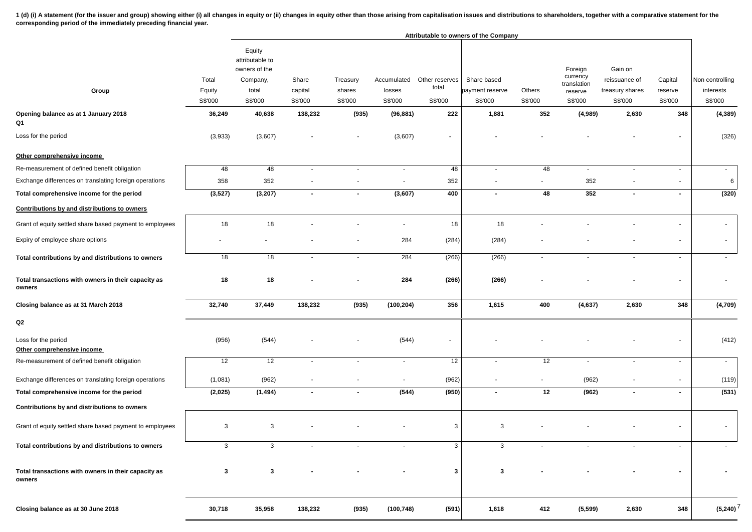1 (d) (i) A statement (for the issuer and group) showing either (i) all changes in equity or (ii) changes in equity other than those arising from capitalisation issues and distributions to shareholders, together with a com **corresponding period of the immediately preceding financial year.**

|                                                               |                            |                                                                            |                             |                               |                                  |                                    | Attributable to owners of the Company     |                   |                                                          |                                                        |                               |                                         |
|---------------------------------------------------------------|----------------------------|----------------------------------------------------------------------------|-----------------------------|-------------------------------|----------------------------------|------------------------------------|-------------------------------------------|-------------------|----------------------------------------------------------|--------------------------------------------------------|-------------------------------|-----------------------------------------|
| Group                                                         | Total<br>Equity<br>S\$'000 | Equity<br>attributable to<br>owners of the<br>Company,<br>total<br>S\$'000 | Share<br>capital<br>S\$'000 | Treasury<br>shares<br>S\$'000 | Accumulated<br>losses<br>S\$'000 | Other reserves<br>total<br>S\$'000 | Share based<br>payment reserve<br>S\$'000 | Others<br>S\$'000 | Foreign<br>currency<br>translation<br>reserve<br>S\$'000 | Gain on<br>reissuance of<br>treasury shares<br>S\$'000 | Capital<br>reserve<br>S\$'000 | Non controlling<br>interests<br>S\$'000 |
| Opening balance as at 1 January 2018<br>Q1                    | 36,249                     | 40,638                                                                     | 138,232                     | (935)                         | (96, 881)                        | 222                                | 1,881                                     | 352               | (4,989)                                                  | 2,630                                                  | 348                           | (4, 389)                                |
| Loss for the period                                           | (3,933)                    | (3,607)                                                                    |                             |                               | (3,607)                          |                                    |                                           |                   |                                                          |                                                        | $\sim$                        | (326)                                   |
| Other comprehensive income                                    |                            |                                                                            |                             |                               |                                  |                                    |                                           |                   |                                                          |                                                        |                               |                                         |
| Re-measurement of defined benefit obligation                  | 48                         | 48                                                                         |                             | $\blacksquare$                | $\sim$                           | 48                                 | $\overline{\phantom{a}}$                  | 48                | $\sim$                                                   |                                                        | $\sim$                        | $\sim$                                  |
| Exchange differences on translating foreign operations        | 358                        | 352                                                                        |                             |                               |                                  | 352                                |                                           |                   | 352                                                      |                                                        |                               | 6                                       |
| Total comprehensive income for the period                     | (3,527)                    | (3, 207)                                                                   | $\blacksquare$              | $\sim$                        | (3,607)                          | 400                                | $\blacksquare$                            | 48                | 352                                                      | $\blacksquare$                                         | $\blacksquare$                | (320)                                   |
| Contributions by and distributions to owners                  |                            |                                                                            |                             |                               |                                  |                                    |                                           |                   |                                                          |                                                        |                               |                                         |
| Grant of equity settled share based payment to employees      | 18                         | 18                                                                         |                             |                               | $\sim$                           | 18                                 | 18                                        |                   |                                                          |                                                        |                               | $\sim$                                  |
| Expiry of employee share options                              |                            |                                                                            |                             |                               | 284                              | (284)                              | (284)                                     |                   |                                                          |                                                        | $\sim$                        | $\sim$                                  |
| Total contributions by and distributions to owners            | 18                         | $\overline{18}$                                                            |                             | $\overline{\phantom{a}}$      | 284                              | (266)                              | (266)                                     | $\sim$            |                                                          | $\blacksquare$                                         | $\sim$                        | $\sim$                                  |
| Total transactions with owners in their capacity as<br>owners | 18                         | 18                                                                         |                             |                               | 284                              | (266)                              | (266)                                     |                   |                                                          |                                                        |                               |                                         |
| Closing balance as at 31 March 2018                           | 32,740                     | 37,449                                                                     | 138,232                     | (935)                         | (100, 204)                       | 356                                | 1,615                                     | 400               | (4, 637)                                                 | 2,630                                                  | 348                           | (4,709)                                 |
| Q2                                                            |                            |                                                                            |                             |                               |                                  |                                    |                                           |                   |                                                          |                                                        |                               |                                         |
| Loss for the period<br>Other comprehensive income             | (956)                      | (544)                                                                      |                             |                               | (544)                            | $\sim$                             |                                           |                   |                                                          |                                                        | $\overline{\phantom{a}}$      | (412)                                   |
| Re-measurement of defined benefit obligation                  | 12                         | 12                                                                         |                             |                               | $\sim$                           | 12                                 |                                           | 12                | $\sim$                                                   |                                                        | $\sim$                        | $\sim$                                  |
| Exchange differences on translating foreign operations        | (1,081)                    | (962)                                                                      |                             |                               | $\sim$                           | (962)                              |                                           | $\sim$            | (962)                                                    |                                                        | $\sim$                        | (119)                                   |
| Total comprehensive income for the period                     | (2,025)                    | (1, 494)                                                                   |                             |                               | (544)                            | (950)                              |                                           | 12                | (962)                                                    | $\blacksquare$                                         | $\blacksquare$                | (531)                                   |
| Contributions by and distributions to owners                  |                            |                                                                            |                             |                               |                                  |                                    |                                           |                   |                                                          |                                                        |                               |                                         |
| Grant of equity settled share based payment to employees      | 3                          | 3                                                                          |                             |                               |                                  | 3                                  | 3                                         |                   |                                                          |                                                        |                               | $\sim$                                  |
| Total contributions by and distributions to owners            | 3                          | 3                                                                          |                             |                               |                                  | 3                                  | 3                                         |                   |                                                          |                                                        |                               |                                         |
| Total transactions with owners in their capacity as<br>owners | $\mathbf{3}$               | $\mathbf{3}$                                                               |                             |                               |                                  | 3                                  | $\mathbf{3}$                              |                   |                                                          |                                                        | $\blacksquare$                | $\blacksquare$                          |
| Closing balance as at 30 June 2018                            | 30,718                     | 35,958                                                                     | 138,232                     | (935)                         | (100, 748)                       | (591)                              | 1,618                                     | 412               | (5,599)                                                  | 2,630                                                  | 348                           | $(5,240)^{7}$                           |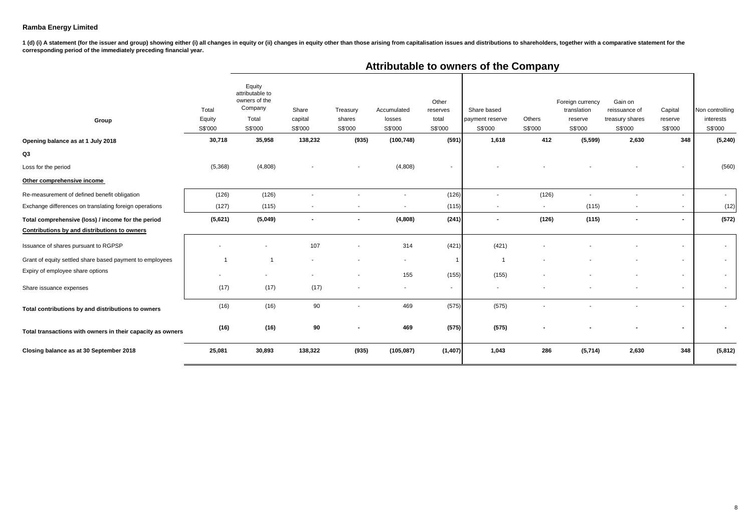1 (d) (i) A statement (for the issuer and group) showing either (i) all changes in equity or (ii) changes in equity other than those arising from capitalisation issues and distributions to shareholders, together with a com **corresponding period of the immediately preceding financial year.**

| Group                                                      | Total<br>Equity<br>S\$'000 | Equity<br>attributable to<br>owners of the<br>Company<br>Total<br>S\$'000 | Share<br>capital<br>S\$'000 | Treasury<br>shares<br>S\$'000 | Accumulated<br>losses<br>S\$'000 | Other<br>reserves<br>total<br>S\$'000 | Share based<br>payment reserve<br>S\$'000 | Others<br>S\$'000 | Foreign currency<br>translation<br>reserve<br>S\$'000 | Gain on<br>reissuance of<br>treasury shares<br>S\$'000 | Capital<br>reserve<br>S\$'000 | Non controlling<br>interests<br>S\$'000 |
|------------------------------------------------------------|----------------------------|---------------------------------------------------------------------------|-----------------------------|-------------------------------|----------------------------------|---------------------------------------|-------------------------------------------|-------------------|-------------------------------------------------------|--------------------------------------------------------|-------------------------------|-----------------------------------------|
| Opening balance as at 1 July 2018                          | 30,718                     | 35,958                                                                    | 138,232                     | (935)                         | (100, 748)                       | (591)                                 | 1,618                                     | 412               | (5, 599)                                              | 2,630                                                  | 348                           | (5, 240)                                |
| Q3                                                         |                            |                                                                           |                             |                               |                                  |                                       |                                           |                   |                                                       |                                                        |                               |                                         |
| Loss for the period                                        | (5,368)                    | (4,808)                                                                   |                             |                               | (4,808)                          | $\overline{\phantom{a}}$              |                                           |                   |                                                       |                                                        |                               | (560)                                   |
| Other comprehensive income                                 |                            |                                                                           |                             |                               |                                  |                                       |                                           |                   |                                                       |                                                        |                               |                                         |
| Re-measurement of defined benefit obligation               | (126)                      | (126)                                                                     | ٠                           |                               |                                  | (126)                                 | $\overline{\phantom{a}}$                  | (126)             | $\overline{\phantom{a}}$                              | $\overline{\phantom{a}}$                               | $\overline{\phantom{a}}$      | $\sim$                                  |
| Exchange differences on translating foreign operations     | (127)                      | (115)                                                                     | $\overline{\phantom{a}}$    |                               |                                  | (115)                                 | $\sim$                                    | $\sim$            | (115)                                                 | $\overline{\phantom{a}}$                               | $\overline{\phantom{a}}$      | (12)                                    |
| Total comprehensive (loss) / income for the period         | (5,621)                    | (5,049)                                                                   | $\blacksquare$              | $\blacksquare$                | (4,808)                          | (241)                                 | $\blacksquare$                            | (126)             | (115)                                                 | $\blacksquare$                                         | $\blacksquare$                | (572)                                   |
| Contributions by and distributions to owners               |                            |                                                                           |                             |                               |                                  |                                       |                                           |                   |                                                       |                                                        |                               |                                         |
| Issuance of shares pursuant to RGPSP                       |                            |                                                                           | 107                         |                               | 314                              | (421)                                 | (421)                                     |                   |                                                       |                                                        |                               | $\sim$                                  |
| Grant of equity settled share based payment to employees   |                            |                                                                           |                             |                               | $\sim$                           | $\mathbf{1}$                          | -1                                        |                   |                                                       |                                                        | $\overline{\phantom{a}}$      | $\sim$                                  |
| Expiry of employee share options                           | $\overline{\phantom{a}}$   |                                                                           | $\sim$                      | $\overline{\phantom{a}}$      | 155                              | (155)                                 | (155)                                     |                   |                                                       | $\overline{\phantom{a}}$                               | $\sim$                        | $\sim$                                  |
| Share issuance expenses                                    | (17)                       | (17)                                                                      | (17)                        | $\overline{\phantom{a}}$      | $\sim$                           | $\sim$                                |                                           |                   |                                                       |                                                        | $\sim$                        | $\sim$                                  |
| Total contributions by and distributions to owners         | (16)                       | (16)                                                                      | 90                          |                               | 469                              | (575)                                 | (575)                                     |                   |                                                       |                                                        | $\sim$                        |                                         |
| Total transactions with owners in their capacity as owners | (16)                       | (16)                                                                      | 90                          |                               | 469                              | (575)                                 | (575)                                     |                   |                                                       |                                                        | $\blacksquare$                |                                         |
| Closing balance as at 30 September 2018                    | 25,081                     | 30,893                                                                    | 138,322                     | (935)                         | (105, 087)                       | (1, 407)                              | 1,043                                     | 286               | (5,714)                                               | 2,630                                                  | 348                           | (5,812)                                 |
|                                                            |                            |                                                                           |                             |                               |                                  |                                       |                                           |                   |                                                       |                                                        |                               |                                         |

# **Attributable to owners of the Company**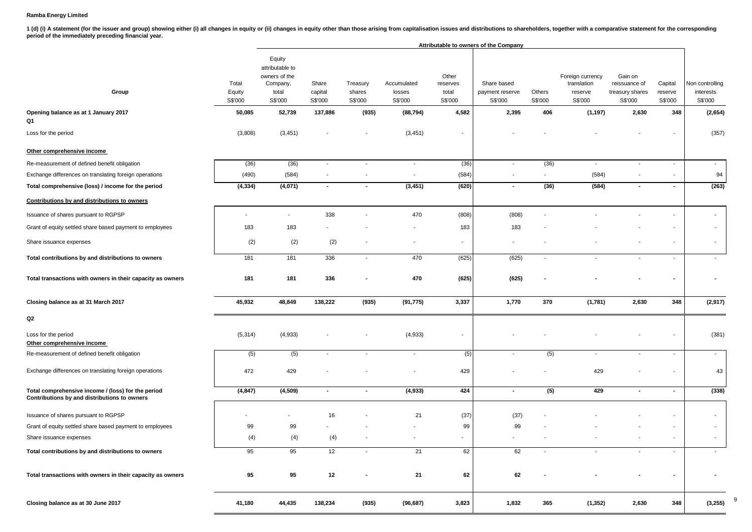1 (d) (i) A statement (for the issuer and group) showing either (i) all changes in equity or (ii) changes in equity other than those arising from capitalisation issues and distributions to shareholders, together with a com **period of the immediately preceding financial year.**

|                                                                                                    |                            |                                                                            | Attributable to owners of the Company |                               |                                  |                                       |                                           |                          |                                                       |                                                        |                               |                                         |
|----------------------------------------------------------------------------------------------------|----------------------------|----------------------------------------------------------------------------|---------------------------------------|-------------------------------|----------------------------------|---------------------------------------|-------------------------------------------|--------------------------|-------------------------------------------------------|--------------------------------------------------------|-------------------------------|-----------------------------------------|
| Group                                                                                              | Total<br>Equity<br>S\$'000 | Equity<br>attributable to<br>owners of the<br>Company,<br>total<br>S\$'000 | Share<br>capital<br>S\$'000           | Treasury<br>shares<br>S\$'000 | Accumulated<br>losses<br>S\$'000 | Other<br>reserves<br>total<br>S\$'000 | Share based<br>payment reserve<br>S\$'000 | Others<br>S\$'000        | Foreign currency<br>translation<br>reserve<br>S\$'000 | Gain on<br>reissuance of<br>treasury shares<br>S\$'000 | Capital<br>reserve<br>S\$'000 | Non controlling<br>interests<br>S\$'000 |
| Opening balance as at 1 January 2017<br>Q1                                                         | 50,085                     | 52,739                                                                     | 137,886                               | (935)                         | (88, 794)                        | 4,582                                 | 2,395                                     | 406                      | (1, 197)                                              | 2,630                                                  | 348                           | (2,654)                                 |
| Loss for the period                                                                                | (3,808)                    | (3, 451)                                                                   |                                       | $\overline{a}$                | (3, 451)                         | $\overline{\phantom{a}}$              |                                           |                          |                                                       |                                                        | $\overline{\phantom{a}}$      | (357)                                   |
| Other comprehensive income                                                                         |                            |                                                                            |                                       |                               |                                  |                                       |                                           |                          |                                                       |                                                        |                               |                                         |
| Re-measurement of defined benefit obligation                                                       | (36)                       | (36)                                                                       | $\sim$                                | $\overline{\phantom{a}}$      | $\blacksquare$                   | (36)                                  | $\sim$                                    | (36)                     | $\sim$                                                | $\sim$                                                 | $\sim$                        | $\sim$                                  |
| Exchange differences on translating foreign operations                                             | (490)                      | (584)                                                                      |                                       | $\overline{a}$                | $\overline{\phantom{a}}$         | (584)                                 | $\overline{\phantom{a}}$                  | $\overline{\phantom{a}}$ | (584)                                                 |                                                        | $\overline{\phantom{a}}$      | 94                                      |
| Total comprehensive (loss) / income for the period                                                 | (4, 334)                   | (4,071)                                                                    | $\sim$                                | $\blacksquare$                | (3, 451)                         | (620)                                 | $\sim$                                    | (36)                     | (584)                                                 | $\blacksquare$                                         | $\sim$                        | (263)                                   |
| Contributions by and distributions to owners                                                       |                            |                                                                            |                                       |                               |                                  |                                       |                                           |                          |                                                       |                                                        |                               |                                         |
| Issuance of shares pursuant to RGPSP                                                               |                            | $\overline{\phantom{a}}$                                                   | 338                                   |                               | 470                              | (808)                                 | (808)                                     |                          |                                                       |                                                        |                               |                                         |
| Grant of equity settled share based payment to employees                                           | 183                        | 183                                                                        |                                       |                               |                                  | 183                                   | 183                                       |                          |                                                       |                                                        |                               | $\overline{\phantom{a}}$                |
| Share issuance expenses                                                                            | (2)                        | (2)                                                                        | (2)                                   |                               |                                  | ٠                                     |                                           |                          |                                                       |                                                        | $\overline{\phantom{a}}$      |                                         |
| Total contributions by and distributions to owners                                                 | 181                        | 181                                                                        | 336                                   | $\overline{\phantom{a}}$      | 470                              | (625)                                 | (625)                                     | $\overline{\phantom{a}}$ |                                                       | $\overline{\phantom{a}}$                               | $\overline{\phantom{a}}$      |                                         |
| Total transactions with owners in their capacity as owners                                         | 181                        | 181                                                                        | 336                                   |                               | 470                              | (625)                                 | (625)                                     |                          |                                                       |                                                        | $\blacksquare$                |                                         |
| Closing balance as at 31 March 2017                                                                | 45,932                     | 48,849                                                                     | 138,222                               | (935)                         | (91, 775)                        | 3,337                                 | 1,770                                     | 370                      | (1,781)                                               | 2,630                                                  | 348                           | (2,917)                                 |
| Q2                                                                                                 |                            |                                                                            |                                       |                               |                                  |                                       |                                           |                          |                                                       |                                                        |                               |                                         |
| Loss for the period<br>Other comprehensive income                                                  | (5, 314)                   | (4,933)                                                                    |                                       |                               | (4,933)                          | $\overline{\phantom{a}}$              |                                           |                          |                                                       |                                                        |                               | (381)                                   |
| Re-measurement of defined benefit obligation                                                       | (5)                        | (5)                                                                        | $\overline{\phantom{a}}$              | $\overline{\phantom{a}}$      | $\sim$                           | (5)                                   |                                           | (5)                      | $\overline{\phantom{a}}$                              | $\sim$                                                 | $\blacksquare$                | $\sim$                                  |
| Exchange differences on translating foreign operations                                             | 472                        | 429                                                                        |                                       |                               |                                  | 429                                   |                                           |                          | 429                                                   |                                                        |                               | 43                                      |
| Total comprehensive income / (loss) for the period<br>Contributions by and distributions to owners | (4, 847)                   | (4,509)                                                                    | $\sim$                                | $\blacksquare$                | (4,933)                          | 424                                   | $\overline{\phantom{a}}$                  | (5)                      | 429                                                   | $\blacksquare$                                         | $\sim$                        | (338)                                   |
| Issuance of shares pursuant to RGPSP                                                               |                            | ٠                                                                          | 16                                    |                               | 21                               | (37)                                  | (37)                                      |                          |                                                       |                                                        |                               |                                         |
| Grant of equity settled share based payment to employees                                           | 99                         | 99                                                                         |                                       |                               |                                  | 99                                    | 99                                        |                          |                                                       |                                                        | $\overline{\phantom{a}}$      |                                         |
| Share issuance expenses                                                                            | (4)                        | (4)                                                                        | (4)                                   |                               |                                  | ٠                                     |                                           |                          |                                                       |                                                        | $\overline{\phantom{a}}$      |                                         |
| Total contributions by and distributions to owners                                                 | 95                         | 95                                                                         | 12                                    |                               | 21                               | 62                                    | 62                                        |                          |                                                       |                                                        |                               |                                         |
| Total transactions with owners in their capacity as owners                                         | 95                         | 95                                                                         | 12                                    | $\blacksquare$                | 21                               | 62                                    | 62                                        |                          |                                                       |                                                        | $\blacksquare$                |                                         |
| Closing balance as at 30 June 2017                                                                 | 41,180                     | 44,435                                                                     | 138,234                               | (935)                         | (96, 687)                        | 3,823                                 | 1,832                                     | 365                      | (1, 352)                                              | 2,630                                                  | 348                           | (3,255)                                 |

9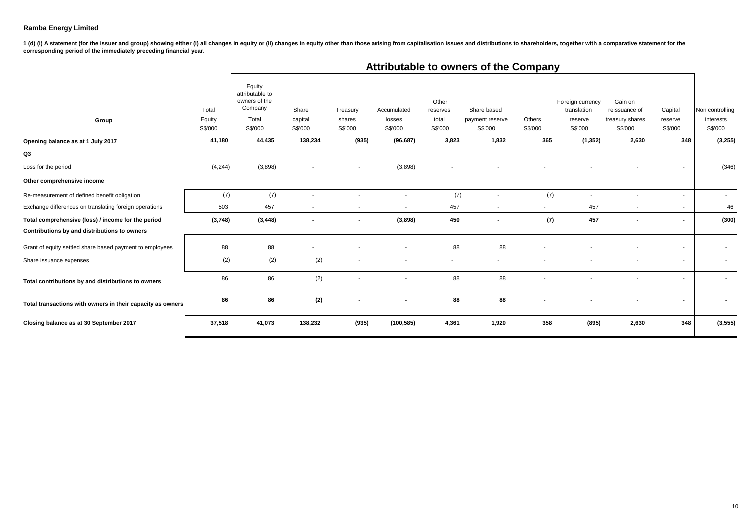1 (d) (i) A statement (for the issuer and group) showing either (i) all changes in equity or (ii) changes in equity other than those arising from capitalisation issues and distributions to shareholders, together with a com **corresponding period of the immediately preceding financial year.**

| Group                                                      | Total<br>Equity<br>S\$'000 | Equity<br>attributable to<br>owners of the<br>Company<br>Total<br>S\$'000 | Share<br>capital<br>S\$'000 | Treasury<br>shares<br>S\$'000 | Accumulated<br>losses<br>S\$'000 | Other<br>reserves<br>total<br>S\$'000 | Share based<br>payment reserve<br>S\$'000 | Others<br>S\$'000 | Foreign currency<br>translation<br>reserve<br>S\$'000 | Gain on<br>reissuance of<br>treasury shares<br>S\$'000 | Capital<br>reserve<br>S\$'000 | Non controlling<br>interests<br>S\$'000 |
|------------------------------------------------------------|----------------------------|---------------------------------------------------------------------------|-----------------------------|-------------------------------|----------------------------------|---------------------------------------|-------------------------------------------|-------------------|-------------------------------------------------------|--------------------------------------------------------|-------------------------------|-----------------------------------------|
| Opening balance as at 1 July 2017                          | 41,180                     | 44,435                                                                    | 138,234                     | (935)                         | (96, 687)                        | 3,823                                 | 1,832                                     | 365               | (1, 352)                                              | 2,630                                                  | 348                           | (3,255)                                 |
| Q3                                                         |                            |                                                                           |                             |                               |                                  |                                       |                                           |                   |                                                       |                                                        |                               |                                         |
| Loss for the period                                        | (4, 244)                   | (3,898)                                                                   |                             |                               | (3,898)                          |                                       |                                           |                   |                                                       |                                                        |                               | (346)                                   |
| Other comprehensive income                                 |                            |                                                                           |                             |                               |                                  |                                       |                                           |                   |                                                       |                                                        |                               |                                         |
| Re-measurement of defined benefit obligation               | (7)                        | (7)                                                                       |                             |                               |                                  | (7)                                   |                                           | (7)               |                                                       |                                                        | $\overline{\phantom{a}}$      | $\sim$                                  |
| Exchange differences on translating foreign operations     | 503                        | 457                                                                       | $\sim$                      | $\overline{\phantom{a}}$      |                                  | 457                                   |                                           | $\sim$            | 457                                                   | $\sim$                                                 | $\overline{\phantom{a}}$      | 46                                      |
| Total comprehensive (loss) / income for the period         | (3,748)                    | (3, 448)                                                                  |                             |                               | (3,898)                          | 450                                   |                                           | (7)               | 457                                                   |                                                        | $\blacksquare$                | (300)                                   |
| Contributions by and distributions to owners               |                            |                                                                           |                             |                               |                                  |                                       |                                           |                   |                                                       |                                                        |                               |                                         |
| Grant of equity settled share based payment to employees   | 88                         | 88                                                                        |                             |                               |                                  | 88                                    | 88                                        |                   |                                                       |                                                        |                               | $\sim$                                  |
| Share issuance expenses                                    | (2)                        | (2)                                                                       | (2)                         |                               |                                  | $\overline{\phantom{a}}$              |                                           |                   |                                                       |                                                        | $\overline{\phantom{a}}$      | $\sim$                                  |
| Total contributions by and distributions to owners         | 86                         | 86                                                                        | (2)                         |                               |                                  | 88                                    | 88                                        |                   |                                                       |                                                        | $\overline{\phantom{a}}$      |                                         |
| Total transactions with owners in their capacity as owners | 86                         | 86                                                                        | (2)                         |                               |                                  | 88                                    | 88                                        |                   |                                                       |                                                        |                               |                                         |
| Closing balance as at 30 September 2017                    | 37,518                     | 41,073                                                                    | 138,232                     | (935)                         | (100, 585)                       | 4,361                                 | 1,920                                     | 358               | (895)                                                 | 2,630                                                  | 348                           | (3, 555)                                |

# **Attributable to owners of the Company**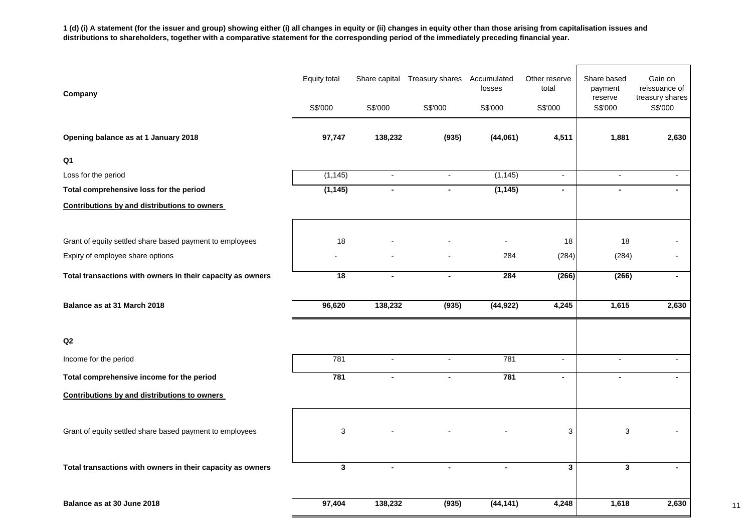**1 (d) (i) A statement (for the issuer and group) showing either (i) all changes in equity or (ii) changes in equity other than those arising from capitalisation issues and distributions to shareholders, together with a comparative statement for the corresponding period of the immediately preceding financial year.**

| Company                                                    | <b>Equity total</b> |                | Share capital Treasury shares Accumulated | losses    | Other reserve<br>total | Share based<br>payment<br>reserve | Gain on<br>reissuance of<br>treasury shares |
|------------------------------------------------------------|---------------------|----------------|-------------------------------------------|-----------|------------------------|-----------------------------------|---------------------------------------------|
|                                                            | S\$'000             | S\$'000        | S\$'000                                   | S\$'000   | S\$'000                | S\$'000                           | S\$'000                                     |
| Opening balance as at 1 January 2018                       | 97,747              | 138,232        | (935)                                     | (44,061)  | 4,511                  | 1,881                             | 2,630                                       |
| Q <sub>1</sub>                                             |                     |                |                                           |           |                        |                                   |                                             |
| Loss for the period                                        | (1, 145)            | $\sim$         | $\overline{a}$                            | (1, 145)  | $\overline{a}$         | $\blacksquare$                    | $\blacksquare$                              |
| Total comprehensive loss for the period                    | (1, 145)            | $\blacksquare$ | $\blacksquare$                            | (1, 145)  | $\blacksquare$         | $\blacksquare$                    | $\blacksquare$                              |
| <b>Contributions by and distributions to owners</b>        |                     |                |                                           |           |                        |                                   |                                             |
|                                                            |                     |                |                                           |           |                        |                                   |                                             |
| Grant of equity settled share based payment to employees   | 18                  |                |                                           |           | 18                     | 18                                |                                             |
| Expiry of employee share options                           |                     |                |                                           | 284       | (284)                  | (284)                             |                                             |
| Total transactions with owners in their capacity as owners | 18                  | $\blacksquare$ | $\blacksquare$                            | 284       | (266)                  | (266)                             | $\blacksquare$                              |
| Balance as at 31 March 2018                                | 96,620              | 138,232        | (935)                                     | (44, 922) | 4,245                  | 1,615                             | 2,630                                       |
| Q2                                                         |                     |                |                                           |           |                        |                                   |                                             |
| Income for the period                                      | 781                 | $\sim$         | $\overline{\phantom{a}}$                  | 781       | $\sim$                 | $\overline{\phantom{a}}$          | $\overline{\phantom{0}}$                    |
| Total comprehensive income for the period                  | 781                 | $\blacksquare$ | $\blacksquare$                            | 781       | $\blacksquare$         | $\blacksquare$                    |                                             |
| Contributions by and distributions to owners               |                     |                |                                           |           |                        |                                   |                                             |
| Grant of equity settled share based payment to employees   | 3                   |                |                                           |           | 3                      | $\ensuremath{\mathsf{3}}$         |                                             |
| Total transactions with owners in their capacity as owners | $\mathbf{3}$        | $\blacksquare$ | $\blacksquare$                            | ٠         | $\mathbf{3}$           | $\mathbf{3}$                      | ٠                                           |
| Balance as at 30 June 2018                                 | 97,404              | 138,232        | (935)                                     | (44, 141) | 4,248                  | 1,618                             | 2,630                                       |

11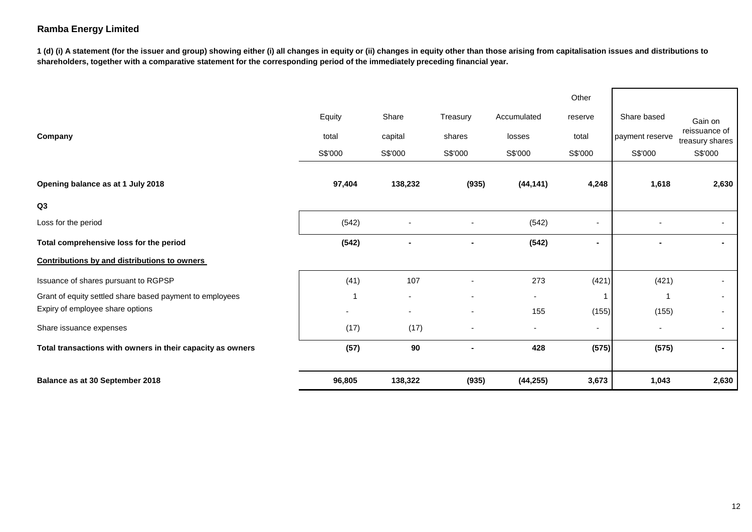**1 (d) (i) A statement (for the issuer and group) showing either (i) all changes in equity or (ii) changes in equity other than those arising from capitalisation issues and distributions to shareholders, together with a comparative statement for the corresponding period of the immediately preceding financial year.**

|                                                            |         |         |          |                          | Other          |                          |                                  |
|------------------------------------------------------------|---------|---------|----------|--------------------------|----------------|--------------------------|----------------------------------|
|                                                            | Equity  | Share   | Treasury | Accumulated              | reserve        | Share based              | Gain on                          |
| Company                                                    | total   | capital | shares   | losses                   | total          | payment reserve          | reissuance of<br>treasury shares |
|                                                            | S\$'000 | S\$'000 | S\$'000  | S\$'000                  | S\$'000        | S\$'000                  | S\$'000                          |
| Opening balance as at 1 July 2018                          | 97,404  | 138,232 | (935)    | (44, 141)                | 4,248          | 1,618                    | 2,630                            |
| Q3                                                         |         |         |          |                          |                |                          |                                  |
| Loss for the period                                        | (542)   |         |          | (542)                    |                |                          |                                  |
| Total comprehensive loss for the period                    | (542)   |         |          | (542)                    | $\blacksquare$ |                          |                                  |
| <b>Contributions by and distributions to owners</b>        |         |         |          |                          |                |                          |                                  |
| Issuance of shares pursuant to RGPSP                       | (41)    | 107     |          | 273                      | (421)          | (421)                    | ٠                                |
| Grant of equity settled share based payment to employees   |         | ٠       |          | $\sim$                   |                |                          | $\overline{\phantom{a}}$         |
| Expiry of employee share options                           |         | -       |          | 155                      | (155)          | (155)                    | ٠                                |
| Share issuance expenses                                    | (17)    | (17)    |          | $\overline{\phantom{a}}$ |                | $\overline{\phantom{a}}$ | $\overline{\phantom{a}}$         |
| Total transactions with owners in their capacity as owners | (57)    | 90      |          | 428                      | (575)          | (575)                    | $\sim$                           |
| Balance as at 30 September 2018                            | 96,805  | 138,322 | (935)    | (44, 255)                | 3,673          | 1,043                    | 2,630                            |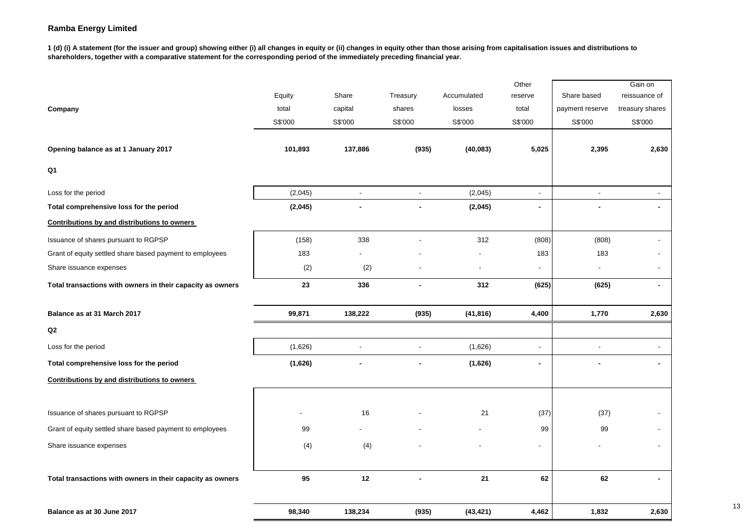**1 (d) (i) A statement (for the issuer and group) showing either (i) all changes in equity or (ii) changes in equity other than those arising from capitalisation issues and distributions to shareholders, together with a comparative statement for the corresponding period of the immediately preceding financial year.**

|                                                            |         |                |                |             | Other                    |                 | Gain on         |
|------------------------------------------------------------|---------|----------------|----------------|-------------|--------------------------|-----------------|-----------------|
|                                                            | Equity  | Share          | Treasury       | Accumulated | reserve                  | Share based     | reissuance of   |
| Company                                                    | total   | capital        | shares         | losses      | total                    | payment reserve | treasury shares |
|                                                            | S\$'000 | S\$'000        | S\$'000        | S\$'000     | S\$'000                  | S\$'000         | S\$'000         |
| Opening balance as at 1 January 2017                       | 101,893 | 137,886        | (935)          | (40, 083)   | 5,025                    | 2,395           | 2,630           |
| Q1                                                         |         |                |                |             |                          |                 |                 |
| Loss for the period                                        | (2,045) | $\blacksquare$ | $\blacksquare$ | (2,045)     | $\blacksquare$           | $\blacksquare$  | $\blacksquare$  |
| Total comprehensive loss for the period                    | (2,045) | $\blacksquare$ | $\blacksquare$ | (2,045)     | $\blacksquare$           |                 | $\blacksquare$  |
| Contributions by and distributions to owners               |         |                |                |             |                          |                 |                 |
| Issuance of shares pursuant to RGPSP                       | (158)   | 338            |                | 312         | (808)                    | (808)           |                 |
| Grant of equity settled share based payment to employees   | 183     |                |                |             | 183                      | 183             |                 |
| Share issuance expenses                                    | (2)     | (2)            |                |             | $\overline{\phantom{a}}$ |                 | $\blacksquare$  |
| Total transactions with owners in their capacity as owners | 23      | 336            |                | 312         | (625)                    | (625)           | $\blacksquare$  |
| Balance as at 31 March 2017                                | 99,871  | 138,222        | (935)          | (41, 816)   | 4,400                    | 1,770           | 2,630           |
| Q2                                                         |         |                |                |             |                          |                 |                 |
| Loss for the period                                        | (1,626) | $\overline{a}$ | $\overline{a}$ | (1,626)     | $\overline{a}$           |                 | $\overline{a}$  |
| Total comprehensive loss for the period                    | (1,626) |                | $\blacksquare$ | (1,626)     | $\blacksquare$           |                 | $\blacksquare$  |
| Contributions by and distributions to owners               |         |                |                |             |                          |                 |                 |
| Issuance of shares pursuant to RGPSP                       |         | 16             |                | 21          | (37)                     | (37)            |                 |
| Grant of equity settled share based payment to employees   | 99      |                |                |             | 99                       | 99              |                 |
| Share issuance expenses                                    | (4)     | (4)            |                |             |                          |                 |                 |
|                                                            |         |                |                |             |                          |                 |                 |
| Total transactions with owners in their capacity as owners | 95      | 12             | $\blacksquare$ | 21          | 62                       | 62              | $\blacksquare$  |
| Balance as at 30 June 2017                                 | 98,340  | 138,234        | (935)          | (43, 421)   | 4,462                    | 1,832           | 2,630           |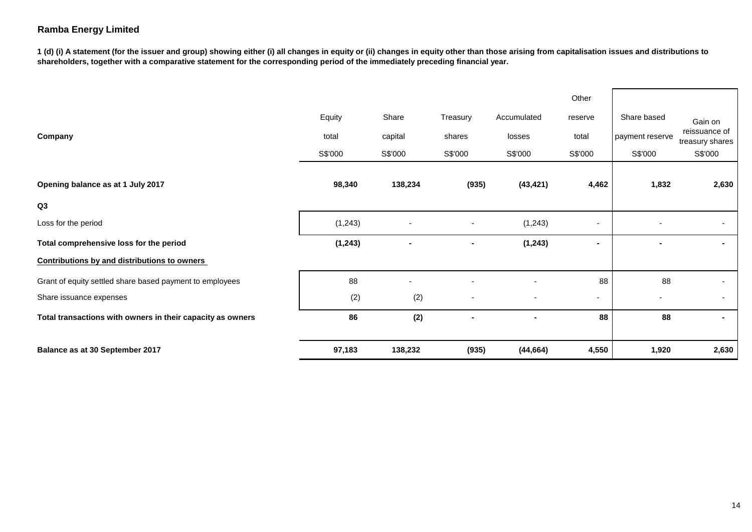**1 (d) (i) A statement (for the issuer and group) showing either (i) all changes in equity or (ii) changes in equity other than those arising from capitalisation issues and distributions to shareholders, together with a comparative statement for the corresponding period of the immediately preceding financial year.**

|                                                            |          |         |                |                | Other                    |                 |                                  |
|------------------------------------------------------------|----------|---------|----------------|----------------|--------------------------|-----------------|----------------------------------|
|                                                            | Equity   | Share   | Treasury       | Accumulated    | reserve                  | Share based     | Gain on                          |
| Company                                                    | total    | capital | shares         | losses         | total                    | payment reserve | reissuance of<br>treasury shares |
|                                                            | S\$'000  | S\$'000 | S\$'000        | S\$'000        | S\$'000                  | S\$'000         | S\$'000                          |
|                                                            |          |         |                |                |                          |                 |                                  |
| Opening balance as at 1 July 2017                          | 98,340   | 138,234 | (935)          | (43, 421)      | 4,462                    | 1,832           | 2,630                            |
| Q <sub>3</sub>                                             |          |         |                |                |                          |                 |                                  |
| Loss for the period                                        | (1, 243) |         |                | (1, 243)       | $\overline{\phantom{a}}$ |                 | $\sim$                           |
| Total comprehensive loss for the period                    | (1, 243) |         | $\blacksquare$ | (1, 243)       | ۰                        |                 | $\sim$                           |
| <b>Contributions by and distributions to owners</b>        |          |         |                |                |                          |                 |                                  |
| Grant of equity settled share based payment to employees   | 88       |         |                |                | 88                       | 88              |                                  |
| Share issuance expenses                                    | (2)      | (2)     |                |                | ۰.                       |                 | $\sim$                           |
| Total transactions with owners in their capacity as owners | 86       | (2)     | $\blacksquare$ | $\blacksquare$ | 88                       | 88              | $\sim$                           |
|                                                            |          |         |                |                |                          |                 |                                  |
| Balance as at 30 September 2017                            | 97,183   | 138,232 | (935)          | (44, 664)      | 4,550                    | 1,920           | 2,630                            |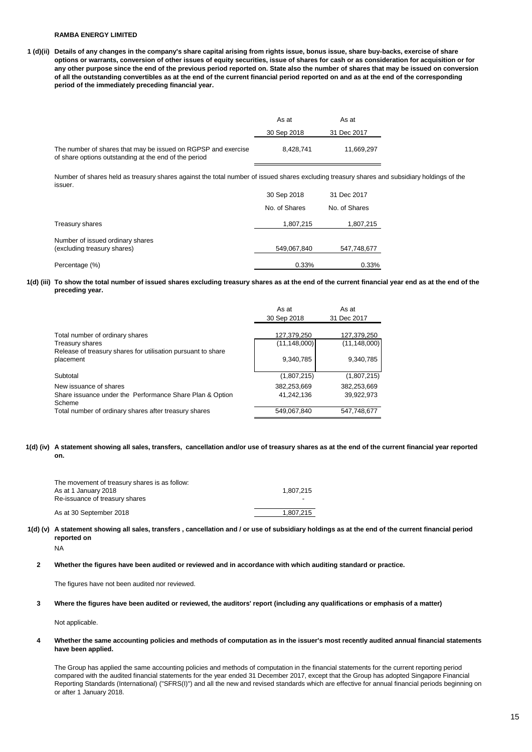**1 (d)(ii) Details of any changes in the company's share capital arising from rights issue, bonus issue, share buy-backs, exercise of share options or warrants, conversion of other issues of equity securities, issue of shares for cash or as consideration for acquisition or for any other purpose since the end of the previous period reported on. State also the number of shares that may be issued on conversion of all the outstanding convertibles as at the end of the current financial period reported on and as at the end of the corresponding period of the immediately preceding financial year.**

|                                                                                                                        | As at       | As at       |  |
|------------------------------------------------------------------------------------------------------------------------|-------------|-------------|--|
|                                                                                                                        | 30 Sep 2018 | 31 Dec 2017 |  |
| The number of shares that may be issued on RGPSP and exercise<br>of share options outstanding at the end of the period | 8.428.741   | 11.669.297  |  |

Number of shares held as treasury shares against the total number of issued shares excluding treasury shares and subsidiary holdings of the issuer.

|                                                                 | 30 Sep 2018   | 31 Dec 2017   |
|-----------------------------------------------------------------|---------------|---------------|
|                                                                 | No. of Shares | No. of Shares |
| Treasury shares                                                 | 1,807,215     | 1,807,215     |
| Number of issued ordinary shares<br>(excluding treasury shares) | 549,067,840   | 547,748,677   |
| Percentage (%)                                                  | 0.33%         | 0.33%         |

**1(d) (iii) To show the total number of issued shares excluding treasury shares as at the end of the current financial year end as at the end of the preceding year.**

|                                                                    | As at          | As at          |
|--------------------------------------------------------------------|----------------|----------------|
|                                                                    | 30 Sep 2018    | 31 Dec 2017    |
|                                                                    |                |                |
| Total number of ordinary shares                                    | 127,379,250    | 127,379,250    |
| Treasury shares                                                    | (11, 148, 000) | (11, 148, 000) |
| Release of treasury shares for utilisation pursuant to share       |                |                |
| placement                                                          | 9.340.785      | 9,340,785      |
| Subtotal                                                           | (1,807,215)    | (1,807,215)    |
| New issuance of shares                                             | 382,253,669    | 382,253,669    |
| Share issuance under the Performance Share Plan & Option<br>Scheme | 41,242,136     | 39,922,973     |
| Total number of ordinary shares after treasury shares              | 549.067.840    | 547.748.677    |

**1(d) (iv) A statement showing all sales, transfers, cancellation and/or use of treasury shares as at the end of the current financial year reported on.**

| The movement of treasury shares is as follow:<br>As at 1 January 2018<br>Re-issuance of treasury shares | 1.807.215<br>- |
|---------------------------------------------------------------------------------------------------------|----------------|
| As at 30 September 2018                                                                                 | 1.807.215      |

**1(d) (v) A statement showing all sales, transfers , cancellation and / or use of subsidiary holdings as at the end of the current financial period reported on**

NA

**2 Whether the figures have been audited or reviewed and in accordance with which auditing standard or practice.**

The figures have not been audited nor reviewed.

**3 Where the figures have been audited or reviewed, the auditors' report (including any qualifications or emphasis of a matter)**

Not applicable.

**4 Whether the same accounting policies and methods of computation as in the issuer's most recently audited annual financial statements have been applied.**

The Group has applied the same accounting policies and methods of computation in the financial statements for the current reporting period compared with the audited financial statements for the year ended 31 December 2017, except that the Group has adopted Singapore Financial Reporting Standards (International) ("SFRS(I)") and all the new and revised standards which are effective for annual financial periods beginning on or after 1 January 2018.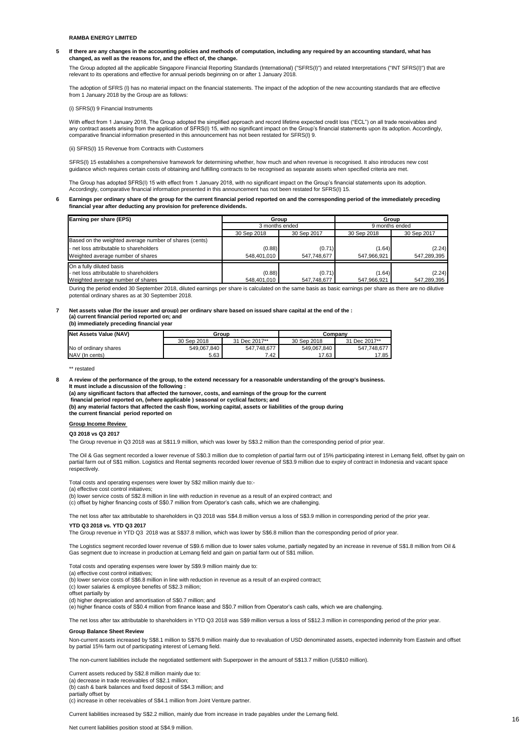**5 If there are any changes in the accounting policies and methods of computation, including any required by an accounting standard, what has changed, as well as the reasons for, and the effect of, the change.**

The Group adopted all the applicable Singapore Financial Reporting Standards (International) ("SFRS(I)") and related Interpretations ("INT SFRS(I)") that are relevant to its operations and effective for annual periods beginning on or after 1 January 2018.

The adoption of SFRS (I) has no material impact on the financial statements. The impact of the adoption of the new accounting standards that are effective from 1 January 2018 by the Group are as follows:

(i) SFRS(I) 9 Financial Instruments

With effect from 1 January 2018, The Group adopted the simplified approach and record lifetime expected credit loss ("ECL") on all trade receivables and any contract assets arising from the application of SFRS(I) 15, with no significant impact on the Group's financial statements upon its adoption. Accordingly, comparative financial information presented in this announcement has not been restated for SFRS(I) 9.

(ii) SFRS(I) 15 Revenue from Contracts with Customers

SFRS(I) 15 establishes a comprehensive framework for determining whether, how much and when revenue is recognised. It also introduces new cost guidance which requires certain costs of obtaining and fulfilling contracts to be recognised as separate assets when specified criteria are met.

The Group has adopted SFRS(I) 15 with effect from 1 January 2018, with no significant impact on the Group's financial statements upon its adoption. Accordingly, comparative financial information presented in this announcement has not been restated for SFRS(I) 15.

#### **6 Earnings per ordinary share of the group for the current financial period reported on and the corresponding period of the immediately preceding financial year after deducting any provision for preference dividends.**

| Earning per share (EPS)                                | Group          |             | Group          |             |  |
|--------------------------------------------------------|----------------|-------------|----------------|-------------|--|
|                                                        | 3 months ended |             | 9 months ended |             |  |
|                                                        | 30 Sep 2018    | 30 Sep 2017 | 30 Sep 2018    | 30 Sep 2017 |  |
| Based on the weighted average number of shares (cents) |                |             |                |             |  |
| - net loss attributable to shareholders                | (0.88)         | (0.71)      | (1.64)         | (2.24)      |  |
| Weighted average number of shares                      | 548,401,010    | 547.748.677 | 547,966,921    | 547,289,395 |  |
| On a fully diluted basis                               |                |             |                |             |  |
| - net loss attributable to shareholders                | (0.88)         | (0.71)      | (1.64)         | (2.24)      |  |
| Weighted average number of shares                      | 548,401,010    | 547.748.677 | 547,966,921    | 547,289,395 |  |

During the period ended 30 September 2018, diluted earnings per share is calculated on the same basis as basic earnings per share as there are no dilutive potential ordinary shares as at 30 September 2018.

### **7 Net assets value (for the issuer and group) per ordinary share based on issued share capital at the end of the : (a) current financial period reported on; and (b) immediately preceding financial year**

| Net Assets Value (NAV) | Group       |               | Company     |               |  |
|------------------------|-------------|---------------|-------------|---------------|--|
|                        | 30 Sep 2018 | 31 Dec 2017** | 30 Sep 2018 | 31 Dec 2017** |  |
| No of ordinary shares  | 549.067.840 | 547.748.677   | 549.067.840 | 547.748.677   |  |
| NAV (In cents)         | 5.63        | 7.42          | 17.63       | 17.85         |  |

\*\* restated

**8 A review of the performance of the group, to the extend necessary for a reasonable understanding of the group's business. It must include a discussion of the following :** 

**(a) any significant factors that affected the turnover, costs, and earnings of the group for the current**

 **financial period reported on, (where applicable ) seasonal or cyclical factors; and**

**(b) any material factors that affected the cash flow, working capital, assets or liabilities of the group during** 

## **the current financial period reported on**

## **Group Income Review**

### **Q3 2018 vs Q3 2017**

The Group revenue in Q3 2018 was at S\$11.9 million, which was lower by S\$3.2 million than the corresponding period of prior year.

The Oil & Gas segment recorded a lower revenue of S\$0.3 million due to completion of partial farm out of 15% participating interest in Lemang field, offset by gain on partial farm out of S\$1 million. Logistics and Rental segments recorded lower revenue of S\$3.9 million due to expiry of contract in Indonesia and vacant space respectively.

Total costs and operating expenses were lower by S\$2 million mainly due to:-

(a) effective cost control initiatives;

(b) lower service costs of S\$2.8 million in line with reduction in revenue as a result of an expired contract; and

(c) offset by higher financing costs of S\$0.7 million from Operator's cash calls, which we are challenging.

**YTD Q3 2018 vs. YTD Q3 2017** The net loss after tax attributable to shareholders in Q3 2018 was S\$4.8 million versus a loss of S\$3.9 million in corresponding period of the prior year.

The Group revenue in YTD Q3 2018 was at S\$37.8 million, which was lower by S\$6.8 million than the corresponding period of prior year.

The Logistics segment recorded lower revenue of S\$9.6 million due to lower sales volume, partially negated by an increase in revenue of S\$1.8 million from Oil & Gas segment due to increase in production at Lemang field and gain on partial farm out of S\$1 million.

### Total costs and operating expenses were lower by S\$9.9 million mainly due to:

(a) effective cost control initiatives;

(b) lower service costs of S\$6.8 million in line with reduction in revenue as a result of an expired contract;

(c) lower salaries & employee benefits of S\$2.3 million;

offset partially by

(d) higher depreciation and amortisation of S\$0.7 million; and

(e) higher finance costs of S\$0.4 million from finance lease and S\$0.7 million from Operator's cash calls, which we are challenging.

The net loss after tax attributable to shareholders in YTD Q3 2018 was S\$9 million versus a loss of S\$12.3 million in corresponding period of the prior year.

### **Group Balance Sheet Review**

Non-current assets increased by S\$8.1 million to S\$76.9 million mainly due to revaluation of USD denominated assets, expected indemnity from Eastwin and offset by partial 15% farm out of participating interest of Lemang field.

The non-current liabilities include the negotiated settlement with Superpower in the amount of S\$13.7 million (US\$10 million).

Current assets reduced by S\$2.8 million mainly due to:

(a) decrease in trade receivables of S\$2.1 million;

(b) cash & bank balances and fixed deposit of S\$4.3 million; and

partially offset by (c) increase in other receivables of S\$4.1 million from Joint Venture partner.

Current liabilities increased by S\$2.2 million, mainly due from increase in trade payables under the Lemang field.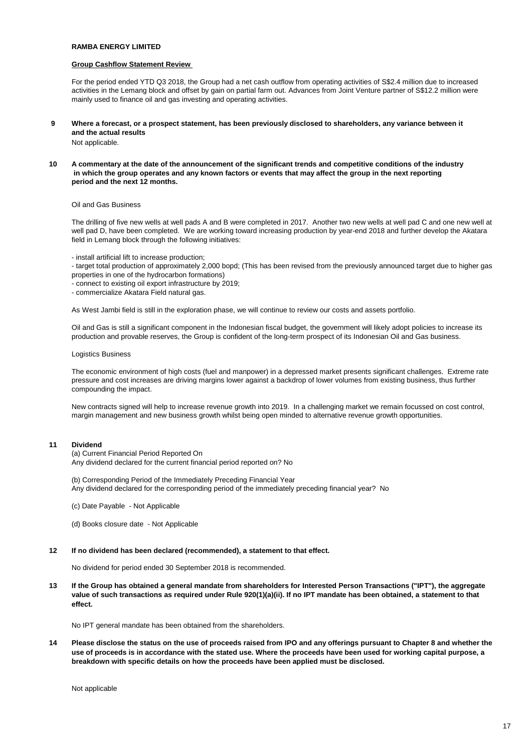## **Group Cashflow Statement Review**

For the period ended YTD Q3 2018, the Group had a net cash outflow from operating activities of S\$2.4 million due to increased activities in the Lemang block and offset by gain on partial farm out. Advances from Joint Venture partner of S\$12.2 million were mainly used to finance oil and gas investing and operating activities.

- **9 Where a forecast, or a prospect statement, has been previously disclosed to shareholders, any variance between it and the actual results**  Not applicable.
- **10 A commentary at the date of the announcement of the significant trends and competitive conditions of the industry in which the group operates and any known factors or events that may affect the group in the next reporting period and the next 12 months.**

## Oil and Gas Business

The drilling of five new wells at well pads A and B were completed in 2017. Another two new wells at well pad C and one new well at well pad D, have been completed. We are working toward increasing production by year-end 2018 and further develop the Akatara field in Lemang block through the following initiatives:

- install artificial lift to increase production;

- target total production of approximately 2,000 bopd; (This has been revised from the previously announced target due to higher gas properties in one of the hydrocarbon formations)

- connect to existing oil export infrastructure by 2019;
- commercialize Akatara Field natural gas.

As West Jambi field is still in the exploration phase, we will continue to review our costs and assets portfolio.

Oil and Gas is still a significant component in the Indonesian fiscal budget, the government will likely adopt policies to increase its production and provable reserves, the Group is confident of the long-term prospect of its Indonesian Oil and Gas business.

## Logistics Business

The economic environment of high costs (fuel and manpower) in a depressed market presents significant challenges. Extreme rate pressure and cost increases are driving margins lower against a backdrop of lower volumes from existing business, thus further compounding the impact.

New contracts signed will help to increase revenue growth into 2019. In a challenging market we remain focussed on cost control, margin management and new business growth whilst being open minded to alternative revenue growth opportunities.

## **11 Dividend**

(a) Current Financial Period Reported On Any dividend declared for the current financial period reported on? No

(b) Corresponding Period of the Immediately Preceding Financial Year Any dividend declared for the corresponding period of the immediately preceding financial year? No

- (c) Date Payable Not Applicable
- (d) Books closure date Not Applicable

## **12 If no dividend has been declared (recommended), a statement to that effect.**

No dividend for period ended 30 September 2018 is recommended.

**13 If the Group has obtained a general mandate from shareholders for Interested Person Transactions ("IPT"), the aggregate value of such transactions as required under Rule 920(1)(a)(ii). If no IPT mandate has been obtained, a statement to that effect.**

No IPT general mandate has been obtained from the shareholders.

**14 Please disclose the status on the use of proceeds raised from IPO and any offerings pursuant to Chapter 8 and whether the use of proceeds is in accordance with the stated use. Where the proceeds have been used for working capital purpose, a breakdown with specific details on how the proceeds have been applied must be disclosed.**

Not applicable